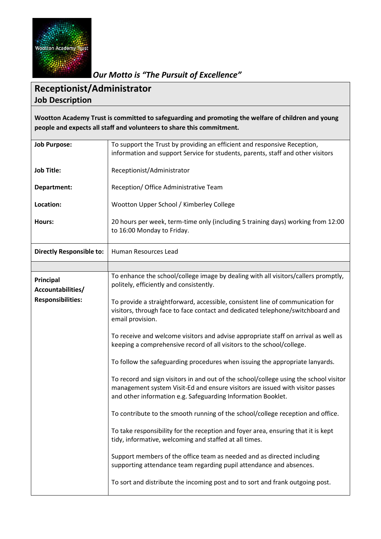

*Our Motto is "The Pursuit of Excellence"*

## **Receptionist/Administrator Job Description**

**Wootton Academy Trust is committed to safeguarding and promoting the welfare of children and young people and expects all staff and volunteers to share this commitment.**

| <b>Job Purpose:</b>             | To support the Trust by providing an efficient and responsive Reception,<br>information and support Service for students, parents, staff and other visitors                                                                            |  |
|---------------------------------|----------------------------------------------------------------------------------------------------------------------------------------------------------------------------------------------------------------------------------------|--|
| <b>Job Title:</b>               | Receptionist/Administrator                                                                                                                                                                                                             |  |
| Department:                     | Reception/ Office Administrative Team                                                                                                                                                                                                  |  |
| Location:                       | Wootton Upper School / Kimberley College                                                                                                                                                                                               |  |
| Hours:                          | 20 hours per week, term-time only (including 5 training days) working from 12:00<br>to 16:00 Monday to Friday.                                                                                                                         |  |
| <b>Directly Responsible to:</b> | Human Resources Lead                                                                                                                                                                                                                   |  |
|                                 |                                                                                                                                                                                                                                        |  |
| Principal<br>Accountabilities/  | To enhance the school/college image by dealing with all visitors/callers promptly,<br>politely, efficiently and consistently.                                                                                                          |  |
| <b>Responsibilities:</b>        | To provide a straightforward, accessible, consistent line of communication for<br>visitors, through face to face contact and dedicated telephone/switchboard and<br>email provision.                                                   |  |
|                                 | To receive and welcome visitors and advise appropriate staff on arrival as well as<br>keeping a comprehensive record of all visitors to the school/college.                                                                            |  |
|                                 | To follow the safeguarding procedures when issuing the appropriate lanyards.                                                                                                                                                           |  |
|                                 | To record and sign visitors in and out of the school/college using the school visitor<br>management system Visit-Ed and ensure visitors are issued with visitor passes<br>and other information e.g. Safeguarding Information Booklet. |  |
|                                 | To contribute to the smooth running of the school/college reception and office.                                                                                                                                                        |  |
|                                 | To take responsibility for the reception and foyer area, ensuring that it is kept<br>tidy, informative, welcoming and staffed at all times.                                                                                            |  |
|                                 | Support members of the office team as needed and as directed including<br>supporting attendance team regarding pupil attendance and absences.                                                                                          |  |
|                                 | To sort and distribute the incoming post and to sort and frank outgoing post.                                                                                                                                                          |  |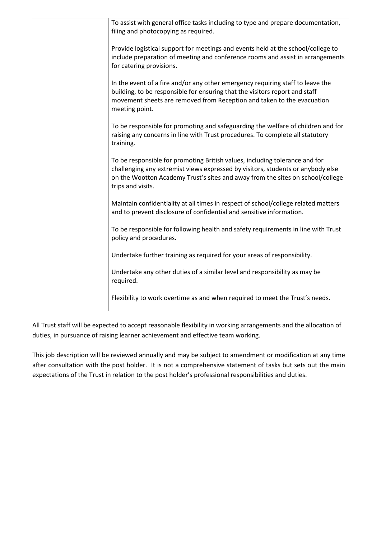| To assist with general office tasks including to type and prepare documentation,<br>filing and photocopying as required.                                                                                                                                              |  |
|-----------------------------------------------------------------------------------------------------------------------------------------------------------------------------------------------------------------------------------------------------------------------|--|
|                                                                                                                                                                                                                                                                       |  |
| Provide logistical support for meetings and events held at the school/college to<br>include preparation of meeting and conference rooms and assist in arrangements<br>for catering provisions.                                                                        |  |
| In the event of a fire and/or any other emergency requiring staff to leave the<br>building, to be responsible for ensuring that the visitors report and staff<br>movement sheets are removed from Reception and taken to the evacuation<br>meeting point.             |  |
| To be responsible for promoting and safeguarding the welfare of children and for<br>raising any concerns in line with Trust procedures. To complete all statutory<br>training.                                                                                        |  |
| To be responsible for promoting British values, including tolerance and for<br>challenging any extremist views expressed by visitors, students or anybody else<br>on the Wootton Academy Trust's sites and away from the sites on school/college<br>trips and visits. |  |
| Maintain confidentiality at all times in respect of school/college related matters<br>and to prevent disclosure of confidential and sensitive information.                                                                                                            |  |
| To be responsible for following health and safety requirements in line with Trust<br>policy and procedures.                                                                                                                                                           |  |
| Undertake further training as required for your areas of responsibility.                                                                                                                                                                                              |  |
| Undertake any other duties of a similar level and responsibility as may be<br>required.                                                                                                                                                                               |  |
| Flexibility to work overtime as and when required to meet the Trust's needs.                                                                                                                                                                                          |  |

All Trust staff will be expected to accept reasonable flexibility in working arrangements and the allocation of duties, in pursuance of raising learner achievement and effective team working.

This job description will be reviewed annually and may be subject to amendment or modification at any time after consultation with the post holder. It is not a comprehensive statement of tasks but sets out the main expectations of the Trust in relation to the post holder's professional responsibilities and duties.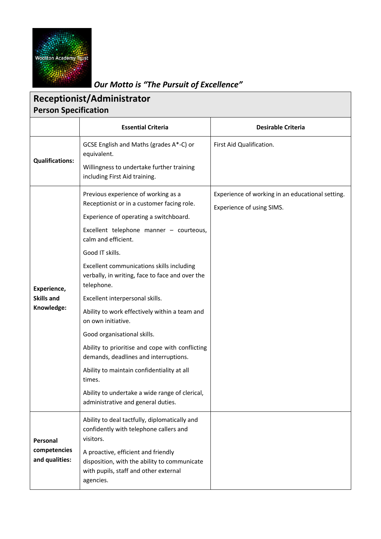

*Our Motto is "The Pursuit of Excellence"*

| <b>Receptionist/Administrator</b><br><b>Person Specification</b> |                                                                                                                                                                                                                                                                                                                                                                                                                                                                                                                                                                                                                                                                                                                     |                                                                               |  |  |
|------------------------------------------------------------------|---------------------------------------------------------------------------------------------------------------------------------------------------------------------------------------------------------------------------------------------------------------------------------------------------------------------------------------------------------------------------------------------------------------------------------------------------------------------------------------------------------------------------------------------------------------------------------------------------------------------------------------------------------------------------------------------------------------------|-------------------------------------------------------------------------------|--|--|
|                                                                  | <b>Essential Criteria</b>                                                                                                                                                                                                                                                                                                                                                                                                                                                                                                                                                                                                                                                                                           | <b>Desirable Criteria</b>                                                     |  |  |
| <b>Qualifications:</b>                                           | GCSE English and Maths (grades A*-C) or<br>equivalent.<br>Willingness to undertake further training<br>including First Aid training.                                                                                                                                                                                                                                                                                                                                                                                                                                                                                                                                                                                | First Aid Qualification.                                                      |  |  |
| Experience,<br><b>Skills and</b><br>Knowledge:                   | Previous experience of working as a<br>Receptionist or in a customer facing role.<br>Experience of operating a switchboard.<br>Excellent telephone manner - courteous,<br>calm and efficient.<br>Good IT skills.<br>Excellent communications skills including<br>verbally, in writing, face to face and over the<br>telephone.<br>Excellent interpersonal skills.<br>Ability to work effectively within a team and<br>on own initiative.<br>Good organisational skills.<br>Ability to prioritise and cope with conflicting<br>demands, deadlines and interruptions.<br>Ability to maintain confidentiality at all<br>times.<br>Ability to undertake a wide range of clerical,<br>administrative and general duties. | Experience of working in an educational setting.<br>Experience of using SIMS. |  |  |
| Personal<br>competencies<br>and qualities:                       | Ability to deal tactfully, diplomatically and<br>confidently with telephone callers and<br>visitors.<br>A proactive, efficient and friendly<br>disposition, with the ability to communicate<br>with pupils, staff and other external<br>agencies.                                                                                                                                                                                                                                                                                                                                                                                                                                                                   |                                                                               |  |  |